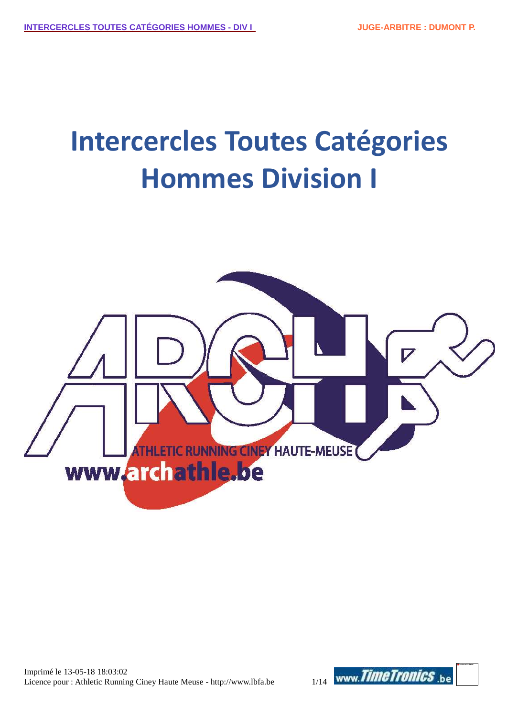# **Intercercles Toutes Catégories Hommes Division I**

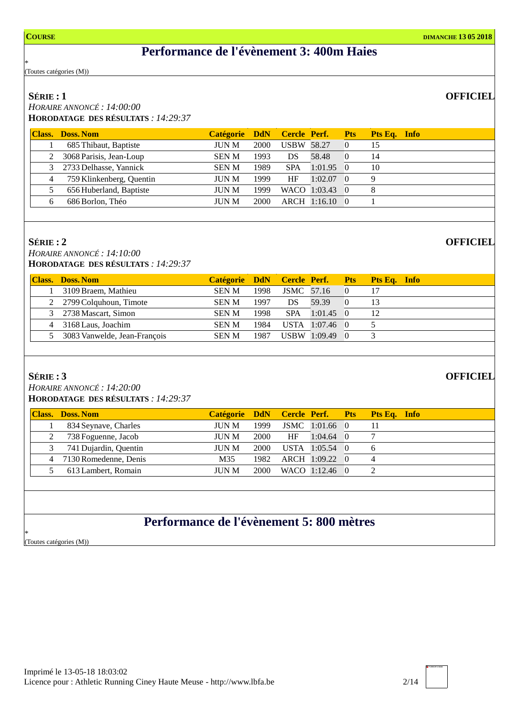## **Performance de l'évènement 3: 400m Haies**

\* (Toutes catégories (M))

### **SÉRIE : 1**

*HORAIRE ANNONCÉ : 14:00:00* **HORODATAGE DES RÉSULTATS** *: 14:29:37*

|   | <b>Class. Doss. Nom</b>   | Catégorie DdN Cercle Perf. |      |                   |                | <b>Pts</b> | Pts Eq. Info |
|---|---------------------------|----------------------------|------|-------------------|----------------|------------|--------------|
|   | 685 Thibaut, Baptiste     | JUN M                      | 2000 | <b>USBW 58.27</b> |                | $\Omega$   | 15           |
|   | 2 3068 Parisis, Jean-Loup | <b>SENM</b>                | 1993 | DS                | 58.48          | 0          | 14           |
|   | 3 2733 Delhasse, Yannick  | <b>SENM</b>                | 1989 | <b>SPA</b>        | 1:01.95        | $\Omega$   | 10           |
| 4 | 759 Klinkenberg, Quentin  | <b>JUN M</b>               | 1999 | HF                | 1:02.07        | 0          | 9            |
|   | 656 Huberland, Baptiste   | <b>JUN M</b>               | 1999 |                   | WACO 1:03.43 0 |            | 8            |
| 6 | 686 Borlon, Théo          | <b>JUN M</b>               | 2000 |                   | ARCH 1:16.10   | $\Omega$   |              |
|   |                           |                            |      |                   |                |            |              |

### **SÉRIE : 2**

*HORAIRE ANNONCÉ : 14:10:00* **HORODATAGE DES RÉSULTATS** *: 14:29:37*

| <b>Class. Doss. Nom</b>        | Catégorie DdN Cercle Perf. Pts |      |                   |                |          | <b>Pts Eq. Info</b> |
|--------------------------------|--------------------------------|------|-------------------|----------------|----------|---------------------|
| 3109 Braem, Mathieu            | <b>SEN M</b>                   | 1998 | <b>JSMC</b> 57.16 |                | $\theta$ | 17                  |
| 2 2799 Colquhoun, Timote       | <b>SENM</b>                    | 1997 | DS.               | 59.39          | 0        |                     |
| 3 2738 Mascart, Simon          | <b>SEN M</b>                   | 1998 | <b>SPA</b>        | 1:01.45        | 0        | 12                  |
| 4 3168 Laus, Joachim           | <b>SEN M</b>                   | 1984 |                   | USTA 1:07.46 0 |          |                     |
| 5 3083 Vanwelde, Jean-Francois | <b>SEN M</b>                   | 1987 |                   | USBW 1:09.49   | $\theta$ |                     |
|                                |                                |      |                   |                |          |                     |

### **SÉRIE : 3**

*HORAIRE ANNONCÉ : 14:20:00* **HORODATAGE DES RÉSULTATS** *: 14:29:37*

| <b>Class. Doss. Nom</b> |              |      |           |                   |          | Catégorie DdN Cercle Perf. Pts Pts Eq. Info |
|-------------------------|--------------|------|-----------|-------------------|----------|---------------------------------------------|
| 834 Seynave, Charles    | JUN M        | 1999 |           | JSMC 1:01.66 0    |          | 11                                          |
| 738 Foguenne, Jacob     | JUN M        | 2000 | <b>HF</b> | $1:04.64$ 0       |          |                                             |
| 741 Dujardin, Quentin   | JUN M        | 2000 |           | USTA 1:05.54 0    |          | -6                                          |
| 4 7130 Romedenne, Denis | M35          |      |           | 1982 ARCH 1:09.22 | $\Omega$ |                                             |
| 613 Lambert, Romain     | <b>IUN M</b> | 2000 |           | WACO 1:12.46 0    |          |                                             |
|                         |              |      |           |                   |          |                                             |

## **Performance de l'évènement 5: 800 mètres**

\* (Toutes catégories (M))

## **OFFICIEL**

**OFFICIEL**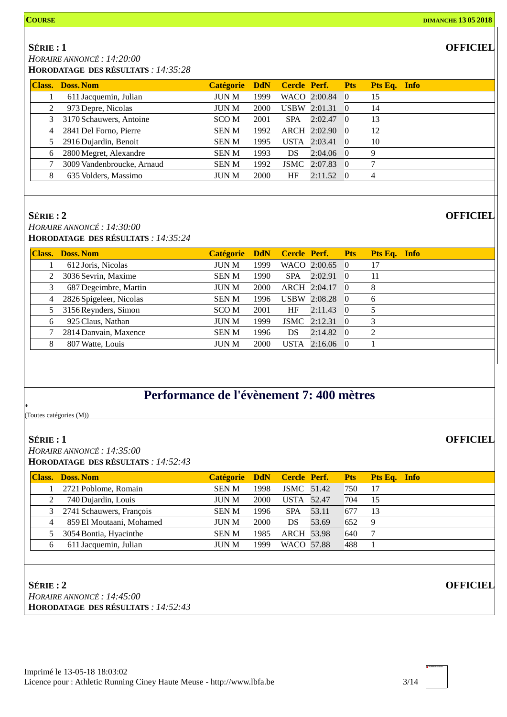**SÉRIE : 1**

*HORAIRE ANNONCÉ : 14:20:00*

**HORODATAGE DES RÉSULTATS** *: 14:35:28*

|   | <b>Class. Doss. Nom</b>    | Catégorie DdN |      |            | Cercle Perf. Pts  | Pts Eq. Info |
|---|----------------------------|---------------|------|------------|-------------------|--------------|
|   | 611 Jacquemin, Julian      | <b>JUN M</b>  | 1999 |            | WACO 2:00.84 0    | 15           |
|   | 973 Depre, Nicolas         | <b>JUN M</b>  | 2000 |            | USBW 2:01.31 0    | 14           |
| 3 | 3170 Schauwers, Antoine    | SCO M         | 2001 | <b>SPA</b> | $2:02.47$ 0       | 13           |
|   | 4 2841 Del Forno, Pierre   | <b>SENM</b>   | 1992 |            | ARCH 2:02.90 0    | 12           |
|   | 5 2916 Dujardin, Benoit    | <b>SENM</b>   | 1995 |            | USTA 2:03.41 0    | 10           |
| 6 | 2800 Megret, Alexandre     | <b>SENM</b>   | 1993 | DS.        | $2:04.06$ 0       | 9            |
|   | 3009 Vandenbroucke, Arnaud | <b>SENM</b>   | 1992 |            | JSMC 2:07.83 0    | 7            |
| 8 | 635 Volders, Massimo       | <b>JUN M</b>  | 2000 | HF         | $2:11.52 \quad 0$ |              |

### **SÉRIE : 2**

*HORAIRE ANNONCÉ : 14:30:00* **HORODATAGE DES RÉSULTATS** *: 14:35:24*

| <b>Class.</b> | Doss, Nom                 | <b>Catégorie</b> | <b>DdN</b> |            | Cercle Perf. Pts    |                          | Pts Eq. Info |
|---------------|---------------------------|------------------|------------|------------|---------------------|--------------------------|--------------|
|               | 612 Joris, Nicolas        | JUN M            | 1999       |            | WACO 2:00.65 0      |                          | 17           |
| 2             | 3036 Sevrin, Maxime       | <b>SENM</b>      | 1990       | <b>SPA</b> | 2:02.91             | $\overline{\phantom{0}}$ | 11           |
| 3             | 687 Degeimbre, Martin     | <b>JUN M</b>     | 2000       |            | ARCH 2:04.17        | $\theta$                 | 8            |
|               | 4 2826 Spigeleer, Nicolas | <b>SENM</b>      | 1996       |            | USBW 2:08.28        | $\theta$                 | 6            |
| 5             | 3156 Reynders, Simon      | <b>SCOM</b>      | 2001       | HF         | $2:11.43 \quad 0$   |                          |              |
| 6             | 925 Claus, Nathan         | <b>JUN M</b>     | 1999       |            | <b>JSMC</b> 2:12.31 | $\hspace{0.1em} 0$       | 3            |
|               | 2814 Danvain, Maxence     | <b>SENM</b>      | 1996       | DS.        | $2:14.82\quad0$     |                          | 2            |
|               | 807 Watte, Louis          | <b>JUN M</b>     | 2000       |            | USTA 2:16.06 0      |                          |              |

## **Performance de l'évènement 7: 400 mètres**

(Toutes catégories (M))

### **SÉRIE : 1**

\*

*HORAIRE ANNONCÉ : 14:35:00* **HORODATAGE DES RÉSULTATS** *: 14:52:43*

|                | <b>Class. Doss. Nom</b>    | Catégorie DdN Cercle Perf. Pts |      |                   |       |     | <b>Pts Eq. Info</b> |
|----------------|----------------------------|--------------------------------|------|-------------------|-------|-----|---------------------|
|                | 2721 Poblome, Romain       | <b>SENM</b>                    | 1998 | <b>JSMC</b> 51.42 |       | 750 | 17                  |
|                | 740 Dujardin, Louis        | <b>JUN M</b>                   | 2000 | <b>USTA</b> 52.47 |       | 704 | 15                  |
|                | 3 2741 Schauwers, François | <b>SENM</b>                    | 1996 | <b>SPA</b>        | 53.11 | 677 | 13                  |
| $\overline{4}$ | 859 El Moutaani, Mohamed   | <b>JUN M</b>                   | 2000 | DS                | 53.69 | 652 | -9                  |
| 5              | 3054 Bontia, Hyacinthe     | <b>SENM</b>                    | 1985 | <b>ARCH 53.98</b> |       | 640 |                     |
|                | 611 Jacquemin, Julian      | <b>JUN M</b>                   | 1999 | WACO 57.88        |       | 488 |                     |
|                |                            |                                |      |                   |       |     |                     |

**SÉRIE : 2** *HORAIRE ANNONCÉ : 14:45:00* **HORODATAGE DES RÉSULTATS** *: 14:52:43*

**OFFICIEL**

**OFFICIEL**

**OFFICIEL**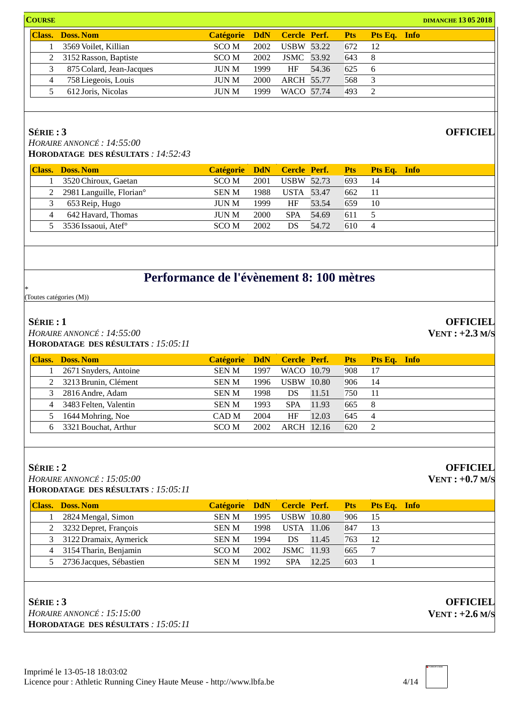|                          |              |      |           |                                                                                    |                                | <b>DIMANCHE 13 05 2018</b>        |
|--------------------------|--------------|------|-----------|------------------------------------------------------------------------------------|--------------------------------|-----------------------------------|
| <b>Class. Doss. Nom</b>  |              |      |           |                                                                                    |                                |                                   |
| 3569 Voilet, Killian     | SCO M        | 2002 |           | 672                                                                                | -12                            |                                   |
| 3152 Rasson, Baptiste    | SCO M        | 2002 |           | 643                                                                                |                                |                                   |
| 875 Colard, Jean-Jacques | <b>JUN M</b> | 1999 | <b>HF</b> | 625                                                                                |                                |                                   |
| 758 Liegeois, Louis      | JUN M        | 2000 |           | 568                                                                                | 3                              |                                   |
| 612 Joris, Nicolas       | <b>JUN M</b> | 1999 |           | 493                                                                                | $\gamma$                       |                                   |
|                          |              |      |           | <b>USBW 53.22</b><br><b>JSMC</b> 53.92<br>54.36<br><b>ARCH 55.77</b><br>WACO 57.74 | Catégorie DdN Cercle Perf. Pts | <b>Pts Eq. Info</b><br>- 8<br>- 6 |

*HORAIRE ANNONCÉ : 14:55:00* **HORODATAGE DES RÉSULTATS** *: 14:52:43*

|   | <b>Class. Doss. Nom</b>                |              |      |                   |       |     | Catégorie DdN Cercle Perf. Pts Pts Eq. Info |
|---|----------------------------------------|--------------|------|-------------------|-------|-----|---------------------------------------------|
|   | 3520 Chiroux, Gaetan                   | SCO M        | 2001 | <b>USBW 52.73</b> |       | 693 | -14                                         |
|   | 2 2981 Languille, Florian <sup>o</sup> | <b>SEN M</b> | 1988 | <b>USTA</b> 53.47 |       | 662 | 11                                          |
|   | 653 Reip, Hugo                         | <b>JUN M</b> | 1999 | HF.               | 53.54 | 659 | -10                                         |
| 4 | 642 Havard, Thomas                     | <b>JUN M</b> | 2000 | <b>SPA</b>        | 54.69 | 611 |                                             |
|   | 5 3536 Issaoui, Atef $\degree$         | SCO M        | 2002 | DS                | 54.72 | 610 |                                             |
|   |                                        |              |      |                   |       |     |                                             |

## **Performance de l'évènement 8: 100 mètres**

\* (Toutes catégories (M))

### **SÉRIE : 1**

*HORAIRE ANNONCÉ : 14:55:00* **HORODATAGE DES RÉSULTATS** *: 15:05:11*

| <b>Class. Doss. Nom</b> | Catégorie DdN Cercle Perf. |      |                   |       | <b>Pts</b> | <b>Pts Eq. Info</b> |
|-------------------------|----------------------------|------|-------------------|-------|------------|---------------------|
| 2671 Snyders, Antoine   | <b>SENM</b>                | 1997 | WACO 10.79        |       | 908        | 17                  |
| 2 3213 Brunin, Clément  | <b>SENM</b>                | 1996 | <b>USBW</b> 10.80 |       | 906        | 14                  |
| 3 2816 Andre, Adam      | <b>SENM</b>                | 1998 | DS                | 11.51 | 750        | -11                 |
| 4 3483 Felten, Valentin | <b>SENM</b>                | 1993 | <b>SPA</b>        | 11.93 | 665        | -8                  |
| 5 1644 Mohring, Noe     | CAD M                      | 2004 | HF                | 12.03 | 645        | $\overline{4}$      |
| 3321 Bouchat, Arthur    | SCO M                      | 2002 | ARCH 12.16        |       | 620        | 2                   |
|                         |                            |      |                   |       |            |                     |

### **SÉRIE : 2**

*HORAIRE ANNONCÉ : 15:05:00* **HORODATAGE DES RÉSULTATS** *: 15:05:11*

| <b>Class. Doss. Nom</b>   |              |      |                   |       |     | Catégorie DdN Cercle Perf. Pts Pts Eq. Info |
|---------------------------|--------------|------|-------------------|-------|-----|---------------------------------------------|
| 2824 Mengal, Simon        | <b>SENM</b>  | 1995 | <b>USBW</b> 10.80 |       | 906 | -15                                         |
| 2 3232 Depret, François   | <b>SEN M</b> | 1998 | <b>USTA</b> 11.06 |       | 847 | -13                                         |
| 3 3122 Dramaix, Aymerick  | <b>SEN M</b> | 1994 | DS.               | 11.45 | 763 | 12                                          |
| 4 3154 Tharin, Benjamin   | SCO M        | 2002 | <b>JSMC</b> 11.93 |       | 665 |                                             |
| 5 2736 Jacques, Sébastien | <b>SEN M</b> | 1992 | <b>SPA</b>        | 12.25 | 603 |                                             |



**OFFICIEL VENT : +2.3 M/S**

**OFFICIEL**

**OFFICIEL VENT : +0.7 M/S**

**OFFICIEL VENT : +2.6 M/S**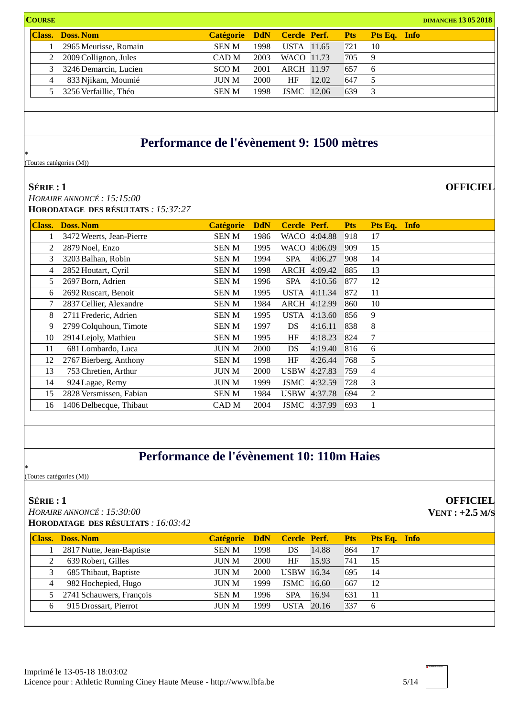**COURSE DIMANCHE 13 05 2018 Class. Doss. Nom Catégorie DdN Cercle Perf. Pts Pts Eq. Info** 2965 Meurisse, Romain SEN M 1998 USTA 11.65 721 10 2009Collignon, Jules CAD M 2003 WACO 11.73 705 9 3246 Demarcin, Lucien SCO M 2001 ARCH 11.97 657 6 833 Njikam, Moumié JUN M 2000 HF 12.02 647 5 3256 Verfaillie, Théo SEN M 1998 JSMC 12.06 639 3

## **Performance de l'évènement 9: 1500 mètres**

(Toutes catégories (M))

### **SÉRIE : 1**

\*

*HORAIRE ANNONCÉ : 15:15:00* **HORODATAGE DES RÉSULTATS** *: 15:37:27*

| Class. | <b>Doss, Nom</b>         | <b>Catégorie</b> | <b>DdN</b> | Cercle Perf. |              | <b>Pts</b> | Pts Eq.        | <b>Info</b> |
|--------|--------------------------|------------------|------------|--------------|--------------|------------|----------------|-------------|
|        | 3472 Weerts, Jean-Pierre | SEN M            | 1986       | WACO         | 4:04.88      | 918        | 17             |             |
| 2      | 2879 Noel, Enzo          | <b>SENM</b>      | 1995       |              | WACO 4:06.09 | 909        | 15             |             |
| 3      | 3203 Balhan, Robin       | <b>SENM</b>      | 1994       | <b>SPA</b>   | 4:06.27      | 908        | 14             |             |
| 4      | 2852 Houtart, Cyril      | <b>SENM</b>      | 1998       | ARCH         | 4:09.42      | 885        | 13             |             |
| 5      | 2697 Born, Adrien        | <b>SENM</b>      | 1996       | <b>SPA</b>   | 4:10.56      | 877        | 12             |             |
| 6      | 2692 Ruscart, Benoit     | <b>SENM</b>      | 1995       | <b>USTA</b>  | 4:11.34      | 872        | 11             |             |
|        | 2837 Cellier, Alexandre  | <b>SENM</b>      | 1984       | ARCH         | 4:12.99      | 860        | 10             |             |
| 8      | 2711 Frederic, Adrien    | <b>SENM</b>      | 1995       | <b>USTA</b>  | 4:13.60      | 856        | 9              |             |
| 9      | 2799 Colquhoun, Timote   | <b>SENM</b>      | 1997       | DS.          | 4:16.11      | 838        | 8              |             |
| 10     | 2914 Lejoly, Mathieu     | <b>SENM</b>      | 1995       | HF           | 4:18.23      | 824        | 7              |             |
| 11     | 681 Lombardo, Luca       | <b>JUN M</b>     | 2000       | DS           | 4:19.40      | 816        | 6              |             |
| 12     | 2767 Bierberg, Anthony   | <b>SENM</b>      | 1998       | HF           | 4:26.44      | 768        | 5              |             |
| 13     | 753 Chretien, Arthur     | JUN M            | 2000       | <b>USBW</b>  | 4:27.83      | 759        | $\overline{4}$ |             |
| 14     | 924 Lagae, Remy          | <b>JUN M</b>     | 1999       | <b>JSMC</b>  | 4:32.59      | 728        | 3              |             |
| 15     | 2828 Versmissen, Fabian  | <b>SENM</b>      | 1984       | <b>USBW</b>  | 4:37.78      | 694        | $\overline{c}$ |             |
| 16     | 1406 Delbecque, Thibaut  | CAD M            | 2004       | JSMC         | 4:37.99      | 693        |                |             |

## **Performance de l'évènement 10: 110m Haies**

(Toutes catégories (M))

### **SÉRIE : 1**

\*

*HORAIRE ANNONCÉ : 15:30:00*

**HORODATAGE DES RÉSULTATS** *: 16:03:42*

| Class. | Doss, Nom                  | Catégorie DdN Cercle Perf. |      |                   |       | <b>Pts</b> | Pts Eq. Info |
|--------|----------------------------|----------------------------|------|-------------------|-------|------------|--------------|
|        | 2817 Nutte, Jean-Baptiste  | <b>SENM</b>                | 1998 | DS                | 14.88 | 864        | 17           |
|        | 639 Robert, Gilles         | JUN M                      | 2000 | HF                | 15.93 | 741        | 15           |
|        | 685 Thibaut, Baptiste      | <b>JUN M</b>               | 2000 | <b>USBW</b> 16.34 |       | 695        | 14           |
| 4      | 982 Hochepied, Hugo        | JUN M                      | 1999 | <b>JSMC</b>       | 16.60 | 667        | 12           |
|        | 5 2741 Schauwers, François | <b>SEN M</b>               | 1996 | <b>SPA</b>        | 16.94 | 631        | 11           |
|        | 915 Drossart, Pierrot      | JUN M                      | 999  | <b>USTA</b>       | 20.16 | 337        | 6            |
|        |                            |                            |      |                   |       |            |              |

**OFFICIEL VENT : +2.5 M/S**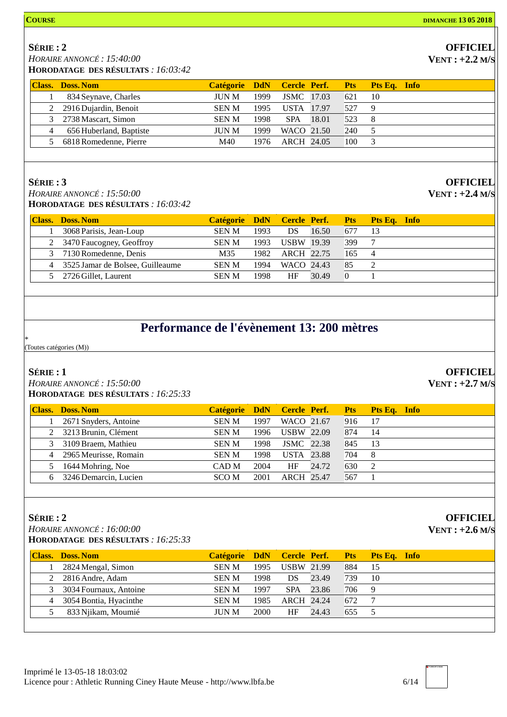### **OFFICIEL VENT : +2.2 M/S**

*HORAIRE ANNONCÉ : 15:40:00* **HORODATAGE DES RÉSULTATS** *: 16:03:42*

|   | <b>Class. Doss. Nom</b> | Catégorie DdN Cercle Perf. |      |                   |       | <b>Pts</b> | Pts Eq. Info |
|---|-------------------------|----------------------------|------|-------------------|-------|------------|--------------|
|   | 834 Seynave, Charles    | <b>JUN M</b>               | 1999 | <b>JSMC</b> 17.03 |       | 621        | 10           |
|   | 2 2916 Dujardin, Benoit | <b>SEN M</b>               | 1995 | USTA 17.97        |       | 527        | 9            |
|   | 3 2738 Mascart, Simon   | <b>SEN M</b>               | 1998 | <b>SPA</b>        | 18.01 | 523        | 8            |
| 4 | 656 Huberland, Baptiste | <b>IUN M</b>               | 1999 | WACO 21.50        |       | 240        |              |
|   | 6818 Romedenne, Pierre  | M40                        | 1976 | ARCH 24.05        |       | 100        |              |

### **SÉRIE : 3**

*HORAIRE ANNONCÉ : 15:50:00* **HORODATAGE DES RÉSULTATS** *: 16:03:42*

**Class. Doss. Nom Catégorie DdN Cercle Perf. Pts Pts Eq. Info** 3068 Parisis, Jean-Loup SEN M 1993 DS 16.50 677 13 2 3470 Faucogney, Geoffroy SEN M 1993 USBW 19.39 399 7 7130Romedenne, Denis M35 1982 ARCH 22.75 165 4 3525 Jamar de Bolsee, Guilleaume SEN M 1994 WACO 24.43 85 2 2726 Gillet, Laurent SEN M 1998 HF 30.49 0 1

## **Performance de l'évènement 13: 200 mètres**

\* (Toutes catégories (M))

### **SÉRIE : 1**

*HORAIRE ANNONCÉ : 15:50:00*

|   | <b>Class. Doss. Nom</b> | Catégorie DdN Cercle Perf. Pts |      |                   |       |     | <b>Pts Eq. Info</b> |  |
|---|-------------------------|--------------------------------|------|-------------------|-------|-----|---------------------|--|
|   | 2671 Snyders, Antoine   | <b>SEN M</b>                   | 1997 | WACO 21.67        |       | 916 | 17                  |  |
|   | 3213 Brunin, Clément    | <b>SENM</b>                    | 1996 | <b>USBW</b> 22.09 |       | 874 | 14                  |  |
| 3 | 3109 Braem, Mathieu     | <b>SENM</b>                    | 1998 | <b>JSMC</b> 22.38 |       | 845 | -13                 |  |
| 4 | 2965 Meurisse, Romain   | <b>SEN M</b>                   | 1998 | <b>USTA</b> 23.88 |       | 704 | - 8                 |  |
|   | 1644 Mohring, Noe       | CAD M                          | 2004 | HF                | 24.72 | 630 | $\mathcal{L}$       |  |
|   | 3246 Demarcin, Lucien   | SCO M                          | 2001 | ARCH 25.47        |       | 567 |                     |  |
|   |                         |                                |      |                   |       |     |                     |  |

### **SÉRIE : 2**

*HORAIRE ANNONCÉ : 16:00:00* **HORODATAGE DES RÉSULTATS** *: 16:25:33*

|   | <b>Class. Doss. Nom</b>  | Catégorie DdN Cercle Perf. |      |                   |       | Pts | <b>Pts Eq.</b> Info |
|---|--------------------------|----------------------------|------|-------------------|-------|-----|---------------------|
|   | 2824 Mengal, Simon       | <b>SEN M</b>               | 1995 | <b>USBW</b> 21.99 |       | 884 | 15                  |
|   | 2 2816 Andre, Adam       | <b>SEN M</b>               | 1998 | DS                | 23.49 | 739 | 10                  |
|   | 3 3034 Fournaux, Antoine | <b>SEN M</b>               | 1997 | <b>SPA</b>        | 23.86 | 706 | 9                   |
| 4 | 3054 Bontia, Hyacinthe   | <b>SEN M</b>               | 1985 | ARCH 24.24        |       | 672 |                     |
|   | 833 Njikam, Moumié       | <b>JUN M</b>               | 2000 | HF                | 24.43 | 655 |                     |

## **OFFICIEL**

**VENT : +2.4 M/S**

**OFFICIEL VENT : +2.7 M/S**

**OFFICIEL**

**VENT : +2.6 M/S**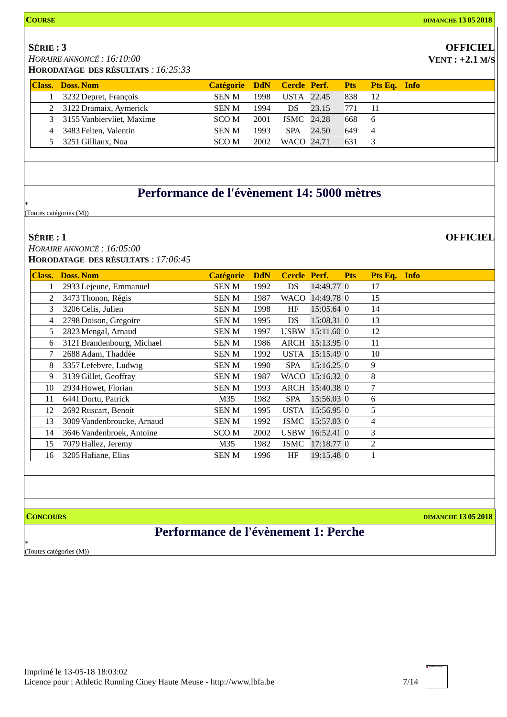### **COURSE DIMANCHE 13 05 2018**

### **OFFICIEL VENT : +2.1 M/S**

**OFFICIEL**

*HORAIRE ANNONCÉ : 16:10:00* **HORODATAGE DES RÉSULTATS** *: 16:25:33*

|   | <b>Class. Doss. Nom</b>     |              |      |                   |       |     | Catégorie DdN Cercle Perf. Pts Pts Eq. Info |
|---|-----------------------------|--------------|------|-------------------|-------|-----|---------------------------------------------|
|   | 3232 Depret, François       | <b>SEN M</b> | 1998 | USTA 22.45        |       | 838 | -12                                         |
|   | 2 3122 Dramaix, Aymerick    | <b>SEN M</b> | 1994 | DS.               | 23.15 | 771 | $-11$                                       |
|   | 3 3155 Vanbiervliet, Maxime | SCO M        | 2001 | <b>JSMC</b> 24.28 |       | 668 | -6                                          |
| 4 | 3483 Felten, Valentin       | <b>SEN M</b> | 1993 | <b>SPA</b>        | 24.50 | 649 | $\overline{4}$                              |
|   | 3251 Gilliaux, Noa          | SCO M        | 2002 | WACO 24.71        |       | 631 |                                             |

## **Performance de l'évènement 14: 5000 mètres**

\* (Toutes catégories (M))

### **SÉRIE : 1**

*HORAIRE ANNONCÉ : 16:05:00* **HORODATAGE DES RÉSULTATS** *: 17:06:45*

| <b>Class.</b> | <b>Doss, Nom</b>           | <b>Catégorie</b> | <b>DdN</b> | <b>Cercle</b> | Perf.           | <b>Pts</b> | Pts Eq. Info |  |
|---------------|----------------------------|------------------|------------|---------------|-----------------|------------|--------------|--|
|               | 2933 Lejeune, Emmanuel     | <b>SENM</b>      | 1992       | DS            | 14:49.77 0      |            | 17           |  |
| 2             | 3473 Thonon, Régis         | <b>SENM</b>      | 1987       | <b>WACO</b>   | 14:49.78 0      |            | 15           |  |
| 3             | 3206 Celis, Julien         | <b>SENM</b>      | 1998       | HF            | 15:05.64 0      |            | 14           |  |
| 4             | 2798 Doison, Gregoire      | <b>SENM</b>      | 1995       | DS            | 15:08.31 0      |            | 13           |  |
| 5             | 2823 Mengal, Arnaud        | <b>SENM</b>      | 1997       | <b>USBW</b>   | $15:11.60$ 0    |            | 12           |  |
| 6             | 3121 Brandenbourg, Michael | <b>SENM</b>      | 1986       |               | ARCH 15:13.95 0 |            | 11           |  |
| 7             | 2688 Adam, Thaddée         | <b>SENM</b>      | 1992       | <b>USTA</b>   | 15:15.49 0      |            | 10           |  |
| 8             | 3357 Lefebvre, Ludwig      | SEN M            | 1990       | <b>SPA</b>    | $15:16.25$ 0    |            | 9            |  |
| 9             | 3139 Gillet, Geoffray      | <b>SENM</b>      | 1987       | WACO          | 15:16.32 0      |            | 8            |  |
| 10            | 2934 Howet, Florian        | <b>SENM</b>      | 1993       |               | ARCH 15:40.38 0 |            | 7            |  |
| 11            | 6441 Dortu, Patrick        | M35              | 1982       | <b>SPA</b>    | 15:56.03 0      |            | 6            |  |
| 12            | 2692 Ruscart, Benoit       | <b>SENM</b>      | 1995       | <b>USTA</b>   | 15:56.95 0      |            | 5            |  |
| 13            | 3009 Vandenbroucke, Arnaud | <b>SENM</b>      | 1992       | <b>JSMC</b>   | 15:57.03 0      |            | 4            |  |
| 14            | 3646 Vandenbroek, Antoine  | SCO M            | 2002       | <b>USBW</b>   | 16:52.41 0      |            | 3            |  |
| 15            | 7079 Hallez, Jeremy        | M35              | 1982       | JSMC          | 17:18.77 0      |            | 2            |  |
| 16            | 3205 Hafiane, Elias        | <b>SENM</b>      | 1996       | HF            | 19:15.48 0      |            | 1            |  |

**CONCOURS DIMANCHE 13 05 2018**

## **Performance de l'évènement 1: Perche**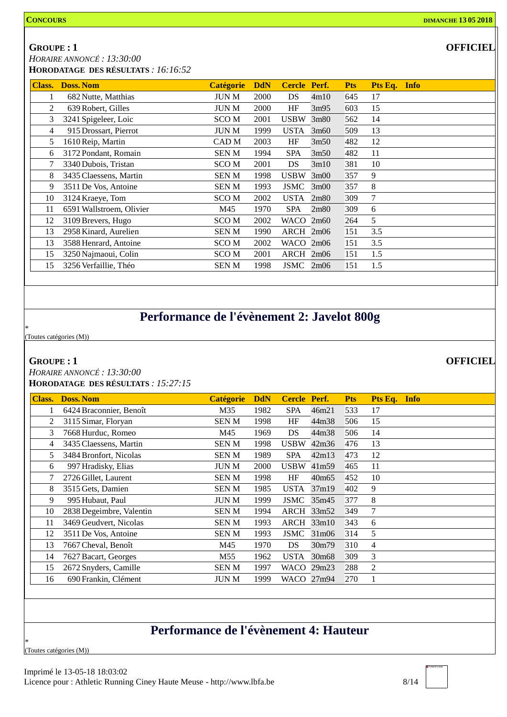**GROUPE : 1**

*HORAIRE ANNONCÉ : 13:30:00* **HORODATAGE DES RÉSULTATS** *: 16:16:52*

| <b>Class.</b> | <b>Doss. Nom</b>         | <b>Catégorie</b> | <b>DdN</b> | Cercle Perf.       |      | <b>Pts</b> | Pts Eq. Info |
|---------------|--------------------------|------------------|------------|--------------------|------|------------|--------------|
|               | 682 Nutte, Matthias      | <b>JUN M</b>     | 2000       | DS                 | 4m10 | 645        | 17           |
| 2             | 639 Robert, Gilles       | <b>JUN M</b>     | 2000       | HF                 | 3m95 | 603        | 15           |
| 3             | 3241 Spigeleer, Loic     | SCO M            | 2001       | <b>USBW</b>        | 3m80 | 562        | 14           |
| 4             | 915 Drossart, Pierrot    | JUN M            | 1999       | <b>USTA</b>        | 3m60 | 509        | 13           |
| 5             | 1610 Reip, Martin        | CAD M            | 2003       | HF                 | 3m50 | 482        | 12           |
| 6             | 3172 Pondant, Romain     | <b>SENM</b>      | 1994       | <b>SPA</b>         | 3m50 | 482        | 11           |
| 7             | 3340 Dubois, Tristan     | SCO <sub>M</sub> | 2001       | DS                 | 3m10 | 381        | 10           |
| 8             | 3435 Claessens, Martin   | <b>SENM</b>      | 1998       | <b>USBW</b>        | 3m00 | 357        | 9            |
| 9             | 3511 De Vos, Antoine     | <b>SENM</b>      | 1993       | JSMC               | 3m00 | 357        | 8            |
| 10            | 3124 Kraeye, Tom         | SCO <sub>M</sub> | 2002       | <b>USTA</b>        | 2m80 | 309        | 7            |
| 11            | 6591 Wallstroem, Olivier | M45              | 1970       | <b>SPA</b>         | 2m80 | 309        | 6            |
| 12            | 3109 Brevers, Hugo       | SCO <sub>M</sub> | 2002       | WACO               | 2m60 | 264        | 5            |
| 13            | 2958 Kinard, Aurelien    | <b>SENM</b>      | 1990       | $\text{ARCH}$ 2m06 |      | 151        | 3.5          |
| 13            | 3588 Henrard, Antoine    | SCO <sub>M</sub> | 2002       | WACO 2m06          |      | 151        | 3.5          |
| 15            | 3250 Najmaoui, Colin     | SCO M            | 2001       | ARCH 2m06          |      | 151        | 1.5          |
| 15            | 3256 Verfaillie, Théo    | SEN M            | 1998       | JSMC               | 2m06 | 151        | 1.5          |

## **Performance de l'évènement 2: Javelot 800g**

\* (Toutes catégories (M))

### **GROUPE : 1**

*HORAIRE ANNONCÉ : 13:30:00* **HORODATAGE DES RÉSULTATS** *: 15:27:15*

| <b>Class.</b> | <b>Doss. Nom</b>         | <b>Catégorie</b> | <b>DdN</b> | <b>Cercle</b> | Perf.      | <b>Pts</b> | Pts Eq.<br>Info |
|---------------|--------------------------|------------------|------------|---------------|------------|------------|-----------------|
|               | 6424 Braconnier, Benoît  | M35              | 1982       | <b>SPA</b>    | 46m21      | 533        | 17              |
| 2             | 3115 Simar, Floryan      | <b>SENM</b>      | 1998       | HF            | 44m38      | 506        | 15              |
| 3             | 7668 Hurduc, Romeo       | M45              | 1969       | DS            | 44m38      | 506        | 14              |
| 4             | 3435 Claessens, Martin   | <b>SENM</b>      | 1998       | <b>USBW</b>   | 42m36      | 476        | 13              |
| 5             | 3484 Bronfort, Nicolas   | <b>SENM</b>      | 1989       | <b>SPA</b>    | 42m13      | 473        | 12              |
| 6             | 997 Hradisky, Elias      | <b>JUN M</b>     | 2000       | <b>USBW</b>   | 41m59      | 465        | 11              |
| 7             | 2726 Gillet, Laurent     | <b>SENM</b>      | 1998       | HF            | 40m65      | 452        | 10              |
| 8             | 3515 Gets, Damien        | <b>SENM</b>      | 1985       | <b>USTA</b>   | 37m19      | 402        | 9               |
| 9             | 995 Hubaut, Paul         | <b>JUNM</b>      | 1999       | <b>JSMC</b>   | 35m45      | 377        | 8               |
| 10            | 2838 Degeimbre, Valentin | <b>SENM</b>      | 1994       |               | ARCH 33m52 | 349        | 7               |
| 11            | 3469 Geudvert, Nicolas   | <b>SENM</b>      | 1993       |               | ARCH 33m10 | 343        | 6               |
| 12            | 3511 De Vos, Antoine     | <b>SENM</b>      | 1993       | JSMC          | 31m06      | 314        | 5               |
| 13            | 7667 Cheval, Benoît      | M45              | 1970       | DS            | 30m79      | 310        | 4               |
| 14            | 7627 Bacart, Georges     | M55              | 1962       | <b>USTA</b>   | 30m68      | 309        | 3               |
| 15            | 2672 Snyders, Camille    | <b>SENM</b>      | 1997       | WACO          | 29m23      | 288        | $\overline{2}$  |
| 16            | 690 Frankin, Clément     | <b>JUNM</b>      | 1999       | WACO          | 27m94      | 270        | 1               |
|               |                          |                  |            |               |            |            |                 |

## **Performance de l'évènement 4: Hauteur**

\* (Toutes catégories (M)) **OFFICIEL**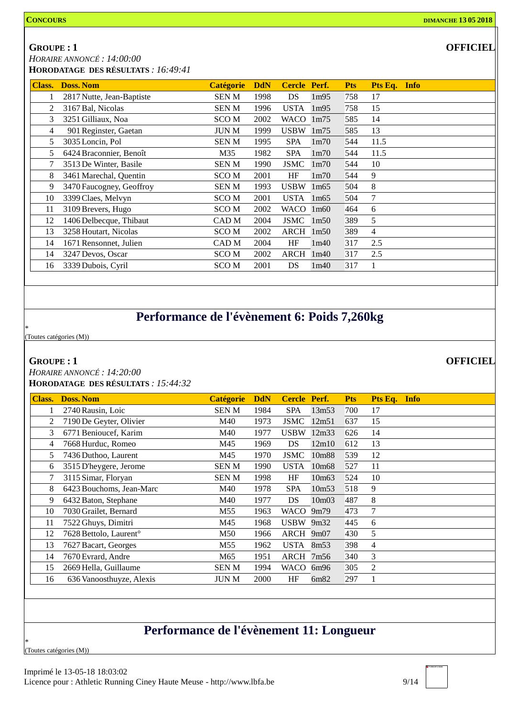### **GROUPE : 1**

*HORAIRE ANNONCÉ : 14:00:00* **HORODATAGE DES RÉSULTATS** *: 16:49:41*

| Class.         | <b>Doss. Nom</b>          | <b>Catégorie</b> | <b>DdN</b> | Cercle Perf. |                   | <b>Pts</b> | Pts Eq. Info   |
|----------------|---------------------------|------------------|------------|--------------|-------------------|------------|----------------|
|                | 2817 Nutte, Jean-Baptiste | <b>SENM</b>      | 1998       | DS           | 1m95              | 758        | 17             |
| 2              | 3167 Bal, Nicolas         | <b>SENM</b>      | 1996       | <b>USTA</b>  | 1m95              | 758        | 15             |
| 3              | 3251 Gilliaux, Noa        | SCO M            | 2002       | WACO         | 1m75              | 585        | 14             |
| $\overline{4}$ | 901 Reginster, Gaetan     | <b>JUN M</b>     | 1999       | <b>USBW</b>  | 1m75              | 585        | 13             |
| 5              | 3035 Loncin, Pol          | <b>SENM</b>      | 1995       | <b>SPA</b>   | 1 <sub>m</sub> 70 | 544        | 11.5           |
| 5              | 6424 Braconnier, Benoît   | M35              | 1982       | <b>SPA</b>   | 1 <sub>m</sub> 70 | 544        | 11.5           |
| 7              | 3513 De Winter, Basile    | <b>SENM</b>      | 1990       | <b>JSMC</b>  | 1 <sub>m</sub> 70 | 544        | 10             |
| 8              | 3461 Marechal, Quentin    | <b>SCOM</b>      | 2001       | HF           | 1 <sub>m</sub> 70 | 544        | 9              |
| 9              | 3470 Faucogney, Geoffroy  | <b>SENM</b>      | 1993       | <b>USBW</b>  | 1m65              | 504        | 8              |
| 10             | 3399 Claes, Melvyn        | SCO M            | 2001       | <b>USTA</b>  | 1m65              | 504        | 7              |
| 11             | 3109 Brevers, Hugo        | <b>SCOM</b>      | 2002       | WACO         | 1m60              | 464        | 6              |
| 12             | 1406 Delbecque, Thibaut   | CAD <sub>M</sub> | 2004       | <b>JSMC</b>  | 1 <sub>m50</sub>  | 389        | 5              |
| 13             | 3258 Houtart, Nicolas     | <b>SCOM</b>      | 2002       | ARCH         | 1m50              | 389        | $\overline{4}$ |
| 14             | 1671 Rensonnet, Julien    | CAD M            | 2004       | HF           | 1m40              | 317        | 2.5            |
| 14             | 3247 Devos, Oscar         | SCO M            | 2002       | ARCH         | 1m40              | 317        | 2.5            |
| 16             | 3339 Dubois, Cyril        | SCO <sub>M</sub> | 2001       | DS           | 1m40              | 317        |                |

## **Performance de l'évènement 6: Poids 7,260kg**

\* (Toutes catégories (M))

### **GROUPE : 1**

*HORAIRE ANNONCÉ : 14:20:00* **HORODATAGE DES RÉSULTATS** *: 15:44:32*

| <b>Class.</b> | <b>Doss. Nom</b>                   | <b>Catégorie</b> | <b>DdN</b> | Cercle Perf. |       | <b>Pts</b> | Pts Eq.<br><b>Info</b> |  |
|---------------|------------------------------------|------------------|------------|--------------|-------|------------|------------------------|--|
|               | 2740 Rausin, Loic                  | SEN M            | 1984       | <b>SPA</b>   | 13m53 | 700        | 17                     |  |
| 2             | 7190 De Geyter, Olivier            | M40              | 1973       | <b>JSMC</b>  | 12m51 | 637        | 15                     |  |
| 3             | 6771 Benioucef, Karim              | M40              | 1977       | <b>USBW</b>  | 12m33 | 626        | 14                     |  |
| 4             | 7668 Hurduc, Romeo                 | M45              | 1969       | DS           | 12m10 | 612        | 13                     |  |
| 5             | 7436 Duthoo, Laurent               | M45              | 1970       | <b>JSMC</b>  | 10m88 | 539        | 12                     |  |
| 6             | 3515 D'heygere, Jerome             | <b>SENM</b>      | 1990       | <b>USTA</b>  | 10m68 | 527        | 11                     |  |
| 7             | 3115 Simar, Floryan                | <b>SENM</b>      | 1998       | HF           | 10m63 | 524        | 10                     |  |
| 8             | 6423 Bouchoms, Jean-Marc           | M40              | 1978       | <b>SPA</b>   | 10m53 | 518        | 9                      |  |
| 9             | 6432 Baton, Stephane               | M40              | 1977       | DS           | 10m03 | 487        | 8                      |  |
| 10            | 7030 Grailet, Bernard              | M55              | 1963       | WACO         | 9m79  | 473        | 7                      |  |
| 11            | 7522 Ghuys, Dimitri                | M45              | 1968       | $USBW$ 9m32  |       | 445        | 6                      |  |
| 12            | 7628 Bettolo, Laurent <sup>o</sup> | M50              | 1966       | ARCH 9m07    |       | 430        | 5                      |  |
| 13            | 7627 Bacart, Georges               | M55              | 1962       | USTA         | 8m53  | 398        | $\overline{4}$         |  |
| 14            | 7670 Evrard, Andre                 | M65              | 1951       | ARCH         | 7m56  | 340        | 3                      |  |
| 15            | 2669 Hella, Guillaume              | SEN M            | 1994       | WACO         | 6m96  | 305        | 2                      |  |
| 16            | 636 Vanoosthuyze, Alexis           | <b>JUN M</b>     | 2000       | HF           | 6m82  | 297        | 1                      |  |

## **Performance de l'évènement 11: Longueur**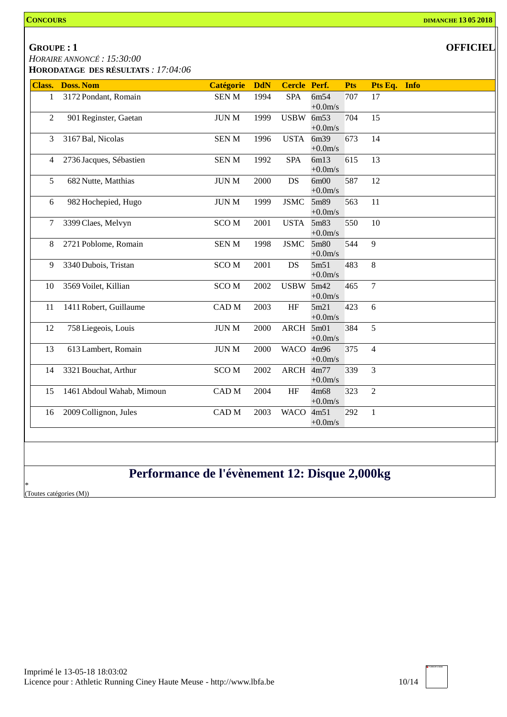### **GROUPE : 1**

*HORAIRE ANNONCÉ : 15:30:00*

**HORODATAGE DES RÉSULTATS** *: 17:04:06*

| <b>Class.</b>  | <b>Doss. Nom</b>          | <b>Catégorie</b>       | <b>DdN</b> | <b>Cercle Perf.</b> |                   | <b>Pts</b> | Pts Eq. Info   |
|----------------|---------------------------|------------------------|------------|---------------------|-------------------|------------|----------------|
| $\mathbf{1}$   | 3172 Pondant, Romain      | <b>SENM</b>            | 1994       | <b>SPA</b>          | 6m54<br>$+0.0m/s$ | 707        | 17             |
| $\overline{2}$ | 901 Reginster, Gaetan     | <b>JUN M</b>           | 1999       | USBW 6m53           | $+0.0$ m/s        | 704        | 15             |
| 3              | 3167 Bal, Nicolas         | <b>SENM</b>            | 1996       | <b>USTA</b>         | 6m39<br>$+0.0m/s$ | 673        | 14             |
| 4              | 2736 Jacques, Sébastien   | <b>SENM</b>            | 1992       | <b>SPA</b>          | 6m13<br>$+0.0m/s$ | 615        | 13             |
| 5              | 682 Nutte, Matthias       | <b>JUN M</b>           | 2000       | DS                  | 6m00<br>$+0.0m/s$ | 587        | 12             |
| 6              | 982 Hochepied, Hugo       | $\rm JUN$ M            | 1999       | <b>JSMC</b>         | 5m89<br>$+0.0m/s$ | 563        | 11             |
| 7              | 3399 Claes, Melvyn        | <b>SCOM</b>            | 2001       | <b>USTA</b>         | 5m83<br>$+0.0m/s$ | 550        | 10             |
| 8              | 2721 Poblome, Romain      | <b>SENM</b>            | 1998       | <b>JSMC</b>         | 5m80<br>$+0.0m/s$ | 544        | 9              |
| 9              | 3340 Dubois, Tristan      | <b>SCOM</b>            | 2001       | DS                  | 5m51<br>$+0.0m/s$ | 483        | 8              |
| 10             | 3569 Voilet, Killian      | SCO <sub>M</sub>       | 2002       | <b>USBW</b>         | 5m42<br>$+0.0m/s$ | 465        | $\overline{7}$ |
| 11             | 1411 Robert, Guillaume    | $\operatorname{CAD}$ M | 2003       | $\rm{HF}$           | 5m21<br>$+0.0m/s$ | 423        | 6              |
| 12             | 758 Liegeois, Louis       | $\rm JUN~M$            | 2000       | ARCH 5m01           | $+0.0m/s$         | 384        | 5              |
| 13             | 613 Lambert, Romain       | $\rm JUN$ M            | 2000       | WACO 4m96           | $+0.0m/s$         | 375        | $\overline{4}$ |
| 14             | 3321 Bouchat, Arthur      | <b>SCOM</b>            | 2002       | ARCH 4m77           | $+0.0m/s$         | 339        | 3              |
| 15             | 1461 Abdoul Wahab, Mimoun | $\operatorname{CAD}$ M | 2004       | HF                  | 4m68<br>$+0.0m/s$ | 323        | $\overline{2}$ |
| 16             | 2009 Collignon, Jules     | CAD M                  | 2003       | <b>WACO</b>         | 4m51<br>$+0.0m/s$ | 292        | $\mathbf{1}$   |
|                |                           |                        |            |                     |                   |            |                |
|                |                           |                        |            |                     |                   |            |                |
|                |                           |                        |            |                     |                   |            |                |

## **Performance de l'évènement 12: Disque 2,000kg**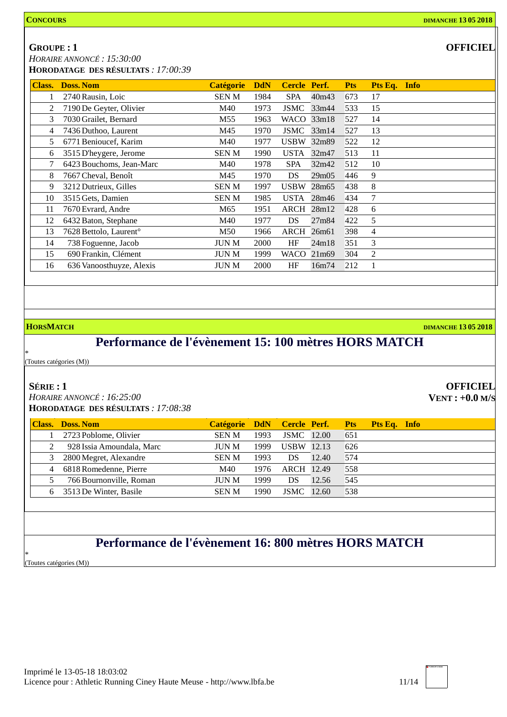**GROUPE : 1**

*HORAIRE ANNONCÉ : 15:30:00* **HORODATAGE DES RÉSULTATS** *: 17:00:39*

| 2740 Rausin, Loic<br>7190 De Geyter, Olivier<br>7030 Grailet, Bernard<br>7436 Duthoo, Laurent | <b>SENM</b><br>M40<br>M55 | 1984<br>1973<br>1963 | <b>SPA</b><br>JSMC | 40m43<br>33m44 | 673<br>533                                            | 17             |  |
|-----------------------------------------------------------------------------------------------|---------------------------|----------------------|--------------------|----------------|-------------------------------------------------------|----------------|--|
|                                                                                               |                           |                      |                    |                |                                                       |                |  |
|                                                                                               |                           |                      |                    |                |                                                       | 15             |  |
|                                                                                               |                           |                      | WACO 33m18         |                | 527                                                   | 14             |  |
|                                                                                               | M45                       | 1970                 | JSMC 33m14         |                | 527                                                   | 13             |  |
| 6771 Benioucef, Karim                                                                         | M40                       | 1977                 | USBW               | 32m89          | 522                                                   | 12             |  |
| 3515 D'heygere, Jerome                                                                        | SEN M                     | 1990                 | <b>USTA</b>        | 32m47          | 513                                                   | 11             |  |
| 6423 Bouchoms, Jean-Marc                                                                      | M40                       | 1978                 | <b>SPA</b>         | 32m42          | 512                                                   | 10             |  |
| 7667 Cheval, Benoît                                                                           | M45                       | 1970                 | DS                 | 29m05          | 446                                                   | 9              |  |
| 3212 Dutrieux, Gilles                                                                         | <b>SENM</b>               | 1997                 | <b>USBW</b>        |                | 438                                                   | 8              |  |
| 3515 Gets, Damien                                                                             | SEN M                     | 1985                 | <b>USTA</b>        |                | 434                                                   | 7              |  |
| 7670 Evrard, Andre                                                                            | M65                       | 1951                 | ARCH               |                | 428                                                   | 6              |  |
| 6432 Baton, Stephane                                                                          | M40                       | 1977                 | DS                 | 27m84          | 422                                                   | 5              |  |
| 7628 Bettolo, Laurent <sup>o</sup>                                                            | M50                       | 1966                 | ARCH               |                | 398                                                   | $\overline{4}$ |  |
| 738 Foguenne, Jacob                                                                           | <b>JUN M</b>              | 2000                 | HF                 | 24m18          | 351                                                   | 3              |  |
| 690 Frankin, Clément                                                                          | <b>JUNM</b>               | 1999                 | WACO               |                | 304                                                   | $\overline{c}$ |  |
| 636 Vanoosthuyze, Alexis                                                                      | <b>JUN M</b>              | 2000                 | HF                 | 16m74          | 212                                                   |                |  |
|                                                                                               |                           |                      |                    |                | 28m <sub>65</sub><br>28m46<br>28m12<br>26m61<br>21m69 |                |  |

### **HORSMATCH DIMANCHE 13 05 2018**

**OFFICIEL VENT : +0.0 M/S**

## **Performance de l'évènement 15: 100 mètres HORS MATCH**

(Toutes catégories (M))

### **SÉRIE : 1**

\*

*HORAIRE ANNONCÉ : 16:25:00* **HORODATAGE DES RÉSULTATS** *: 17:08:38*

| <b>Class.</b>  | Doss, Nom                 | Catégorie DdN Cercle Perf. |      |                   |       | Pts | Pts Eq. Info |  |
|----------------|---------------------------|----------------------------|------|-------------------|-------|-----|--------------|--|
|                | 2723 Poblome, Olivier     | <b>SEN M</b>               | 1993 | <b>JSMC</b> 12.00 |       | 651 |              |  |
|                | 928 Issia Amoundala, Marc | <b>JUN M</b>               | 1999 | <b>USBW</b> 12.13 |       | 626 |              |  |
| 3              | 2800 Megret, Alexandre    | <b>SEN M</b>               | 1993 | DS                | 12.40 | 574 |              |  |
| $\overline{4}$ | 6818 Romedenne, Pierre    | M40                        | 1976 | ARCH 12.49        |       | 558 |              |  |
|                | 766 Bournonville, Roman   | <b>JUN M</b>               | 1999 | DS                | 12.56 | 545 |              |  |
| 6              | 3513 De Winter, Basile    | <b>SENM</b>                | 1990 | JSMC              | 12.60 | 538 |              |  |
|                |                           |                            |      |                   |       |     |              |  |

## **Performance de l'évènement 16: 800 mètres HORS MATCH**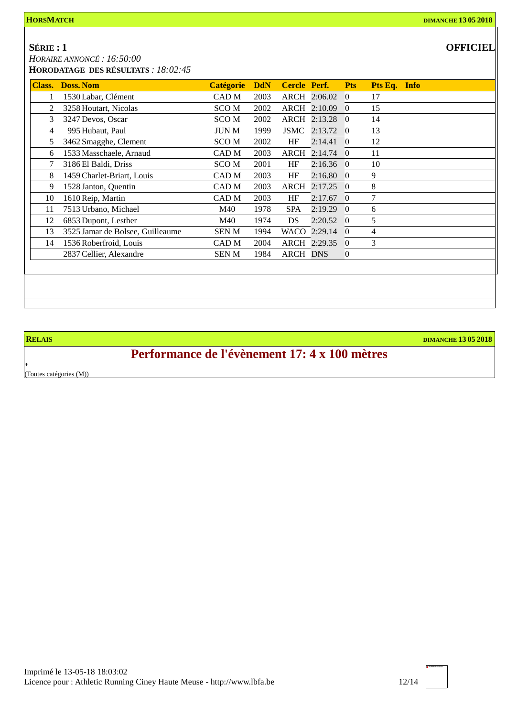*HORAIRE ANNONCÉ : 16:50:00* **HORODATAGE DES RÉSULTATS** *: 18:02:45*

| <b>OFFICIEL</b> |  |
|-----------------|--|
|-----------------|--|

| <b>Class.</b> | <b>Doss, Nom</b>                 | <b>Catégorie</b> | <b>DdN</b> | Cercle Perf.    |              | <b>Pts</b>     | Pts Eq. Info |  |
|---------------|----------------------------------|------------------|------------|-----------------|--------------|----------------|--------------|--|
|               | 1530 Labar, Clément              | CAD M            | 2003       |                 | ARCH 2:06.02 | $\Omega$       | 17           |  |
|               | 3258 Houtart, Nicolas            | <b>SCOM</b>      | 2002       |                 | ARCH 2:10.09 | $\overline{0}$ | 15           |  |
| 3             | 3247 Devos, Oscar                | <b>SCOM</b>      | 2002       |                 | ARCH 2:13.28 | $\overline{0}$ | 14           |  |
| 4             | 995 Hubaut, Paul                 | <b>JUN M</b>     | 1999       | <b>JSMC</b>     | 2:13.72      | $\Omega$       | 13           |  |
| 5             | 3462 Smagghe, Clement            | <b>SCOM</b>      | 2002       | HF              | 2:14.41      | $\overline{0}$ | 12           |  |
| 6             | 1533 Masschaele, Arnaud          | CAD M            | 2003       |                 | ARCH 2:14.74 | $\Omega$       | 11           |  |
| 7             | 3186 El Baldi, Driss             | <b>SCOM</b>      | 2001       | HF              | $2:16.36$ 0  |                | 10           |  |
| 8             | 1459 Charlet-Briart, Louis       | CAD M            | 2003       | HF              | 2:16.80      | $\Omega$       | 9            |  |
| 9             | 1528 Janton, Quentin             | CAD M            | 2003       |                 | ARCH 2:17.25 | $\theta$       | 8            |  |
| 10            | 1610 Reip, Martin                | CAD M            | 2003       | HF              | 2:17.67      | $\theta$       | 7            |  |
| 11            | 7513 Urbano, Michael             | M40              | 1978       | SPA             | 2:19.29      | $\Omega$       | 6            |  |
| 12            | 6853 Dupont, Lesther             | M40              | 1974       | DS              | 2:20.52      | $\theta$       | 5            |  |
| 13            | 3525 Jamar de Bolsee, Guilleaume | <b>SENM</b>      | 1994       |                 | WACO 2:29.14 | 0              | 4            |  |
| 14            | 1536 Roberfroid, Louis           | CAD M            | 2004       |                 | ARCH 2:29.35 | 0              | 3            |  |
|               | 2837 Cellier, Alexandre          | SEN M            | 1984       | <b>ARCH DNS</b> |              | $\overline{0}$ |              |  |
|               |                                  |                  |            |                 |              |                |              |  |
|               |                                  |                  |            |                 |              |                |              |  |
|               |                                  |                  |            |                 |              |                |              |  |
|               |                                  |                  |            |                 |              |                |              |  |

**RELAIS DIMANCHE 13 05 2018**

## **Performance de l'évènement 17: 4 x 100 mètres**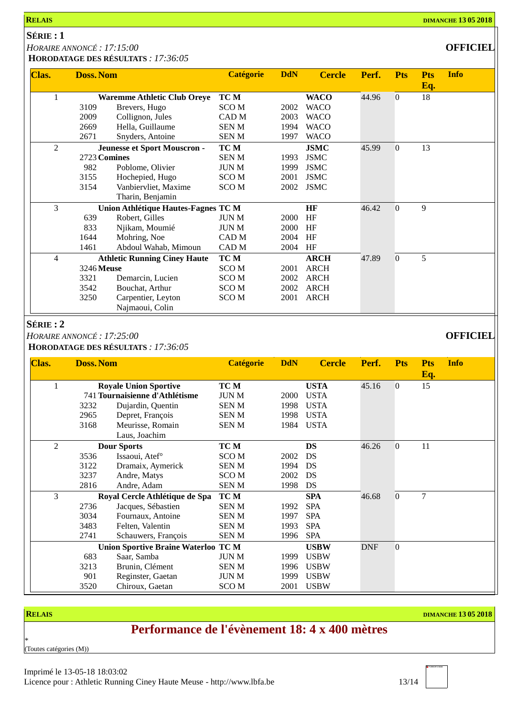**HORODATAGE DES RÉSULTATS** *: 17:36:05*

| Clas. | <b>Doss. Nom</b> |                                            | <b>Catégorie</b> | <b>DdN</b> | <b>Cercle</b> | Perf. | <b>Pts</b>       | <b>Pts</b> | <b>Info</b> |
|-------|------------------|--------------------------------------------|------------------|------------|---------------|-------|------------------|------------|-------------|
|       |                  |                                            |                  |            |               |       |                  | Eq.        |             |
|       |                  | <b>Waremme Athletic Club Oreye</b>         | TC M             |            | <b>WACO</b>   | 44.96 | $\boldsymbol{0}$ | 18         |             |
|       | 3109             | Brevers, Hugo                              | <b>SCOM</b>      | 2002       | <b>WACO</b>   |       |                  |            |             |
|       | 2009             | Collignon, Jules                           | CAD <sub>M</sub> | 2003       | <b>WACO</b>   |       |                  |            |             |
|       | 2669             | Hella, Guillaume                           | <b>SENM</b>      | 1994       | <b>WACO</b>   |       |                  |            |             |
|       | 2671             | Snyders, Antoine                           | <b>SENM</b>      | 1997       | <b>WACO</b>   |       |                  |            |             |
| 2     |                  | Jeunesse et Sport Mouscron -               | TC M             |            | <b>JSMC</b>   | 45.99 | $\theta$         | 13         |             |
|       | 2723 Comines     |                                            | <b>SENM</b>      | 1993       | <b>JSMC</b>   |       |                  |            |             |
|       | 982              | Poblome, Olivier                           | <b>JUNM</b>      | 1999       | <b>JSMC</b>   |       |                  |            |             |
|       | 3155             | Hochepied, Hugo                            | <b>SCOM</b>      | 2001       | <b>JSMC</b>   |       |                  |            |             |
|       | 3154             | Vanbiervliet, Maxime                       | <b>SCOM</b>      | 2002       | <b>JSMC</b>   |       |                  |            |             |
|       |                  | Tharin, Benjamin                           |                  |            |               |       |                  |            |             |
| 3     |                  | <b>Union Athlétique Hautes-Fagnes TC M</b> |                  |            | HF            | 46.42 | $\theta$         | 9          |             |
|       | 639              | Robert, Gilles                             | <b>JUNM</b>      | 2000       | HF            |       |                  |            |             |
|       | 833              | Njikam, Moumié                             | <b>JUN M</b>     | 2000       | HF            |       |                  |            |             |
|       | 1644             | Mohring, Noe                               | CAD <sub>M</sub> | 2004       | HF            |       |                  |            |             |
|       | 1461             | Abdoul Wahab, Mimoun                       | CAD M            | 2004       | HF            |       |                  |            |             |
| 4     |                  | <b>Athletic Running Ciney Haute</b>        | TC M             |            | <b>ARCH</b>   | 47.89 | $\overline{0}$   | 5          |             |
|       | 3246 Meuse       |                                            | <b>SCOM</b>      | 2001       | <b>ARCH</b>   |       |                  |            |             |
|       | 3321             | Demarcin, Lucien                           | <b>SCOM</b>      | 2002       | <b>ARCH</b>   |       |                  |            |             |
|       | 3542             | Bouchat, Arthur                            | <b>SCOM</b>      | 2002       | <b>ARCH</b>   |       |                  |            |             |
|       | 3250             | Carpentier, Leyton                         | <b>SCOM</b>      | 2001       | <b>ARCH</b>   |       |                  |            |             |
|       |                  | Najmaoui, Colin                            |                  |            |               |       |                  |            |             |

### **SÉRIE : 2**

*HORAIRE ANNONCÉ : 17:25:00* **OFFICIEL**

**HORODATAGE DES RÉSULTATS** *: 17:36:05*

| Clas.          | <b>Doss. Nom</b>                           |                                | <b>Catégorie</b> | <b>DdN</b> | <b>Cercle</b> | Perf.      | <b>Pts</b>     | <b>Pts</b><br>Eq. | <b>Info</b> |
|----------------|--------------------------------------------|--------------------------------|------------------|------------|---------------|------------|----------------|-------------------|-------------|
|                | <b>Royale Union Sportive</b>               |                                | TC M             |            | <b>USTA</b>   | 45.16      | $\overline{0}$ | 15                |             |
|                | 741 Tournaisienne d'Athlétisme             |                                | JUN M            | 2000       | <b>USTA</b>   |            |                |                   |             |
|                | 3232                                       | Dujardin, Quentin              | SEN M            | 1998       | <b>USTA</b>   |            |                |                   |             |
|                | 2965                                       | Depret, François               | SEN M            | 1998       | <b>USTA</b>   |            |                |                   |             |
|                | 3168                                       | Meurisse, Romain               | SEN M            | 1984       | <b>USTA</b>   |            |                |                   |             |
|                |                                            | Laus, Joachim                  |                  |            |               |            |                |                   |             |
| $\overline{2}$ |                                            | <b>Dour Sports</b>             | TC M             |            | <b>DS</b>     | 46.26      | 0              | 11                |             |
|                | 3536                                       | Issaoui, Atef°                 | SCO M            | 2002       | <b>DS</b>     |            |                |                   |             |
|                | 3122                                       | Dramaix, Aymerick              | SEN M            | 1994       | DS            |            |                |                   |             |
|                | 3237                                       | Andre, Matys                   | SCO <sub>M</sub> | 2002       | DS            |            |                |                   |             |
|                | 2816                                       | Andre, Adam                    | SEN M            | 1998       | DS            |            |                |                   |             |
| 3              |                                            | Royal Cercle Athlétique de Spa | TC M             |            | <b>SPA</b>    | 46.68      | $\overline{0}$ | 7                 |             |
|                | 2736                                       | Jacques, Sébastien             | SEN M            | 1992       | <b>SPA</b>    |            |                |                   |             |
|                | 3034                                       | Fournaux, Antoine              | SEN M            | 1997       | <b>SPA</b>    |            |                |                   |             |
|                | 3483                                       | Felten, Valentin               | SEN M            | 1993       | <b>SPA</b>    |            |                |                   |             |
|                | 2741                                       | Schauwers, François            | <b>SENM</b>      | 1996       | <b>SPA</b>    |            |                |                   |             |
|                | <b>Union Sportive Braine Waterloo TC M</b> |                                |                  |            | <b>USBW</b>   | <b>DNF</b> | $\overline{0}$ |                   |             |
|                | 683                                        | Saar, Samba                    | <b>JUN M</b>     | 1999       | <b>USBW</b>   |            |                |                   |             |
|                | 3213                                       | Brunin, Clément                | <b>SENM</b>      | 1996       | <b>USBW</b>   |            |                |                   |             |
|                | 901                                        | Reginster, Gaetan              | JUN M            | 1999       | <b>USBW</b>   |            |                |                   |             |
|                | 3520                                       | Chiroux, Gaetan                | SCO M            | 2001       | <b>USBW</b>   |            |                |                   |             |

**RELAIS DIMANCHE 13 05 2018**

## **Performance de l'évènement 18: 4 x 400 mètres**